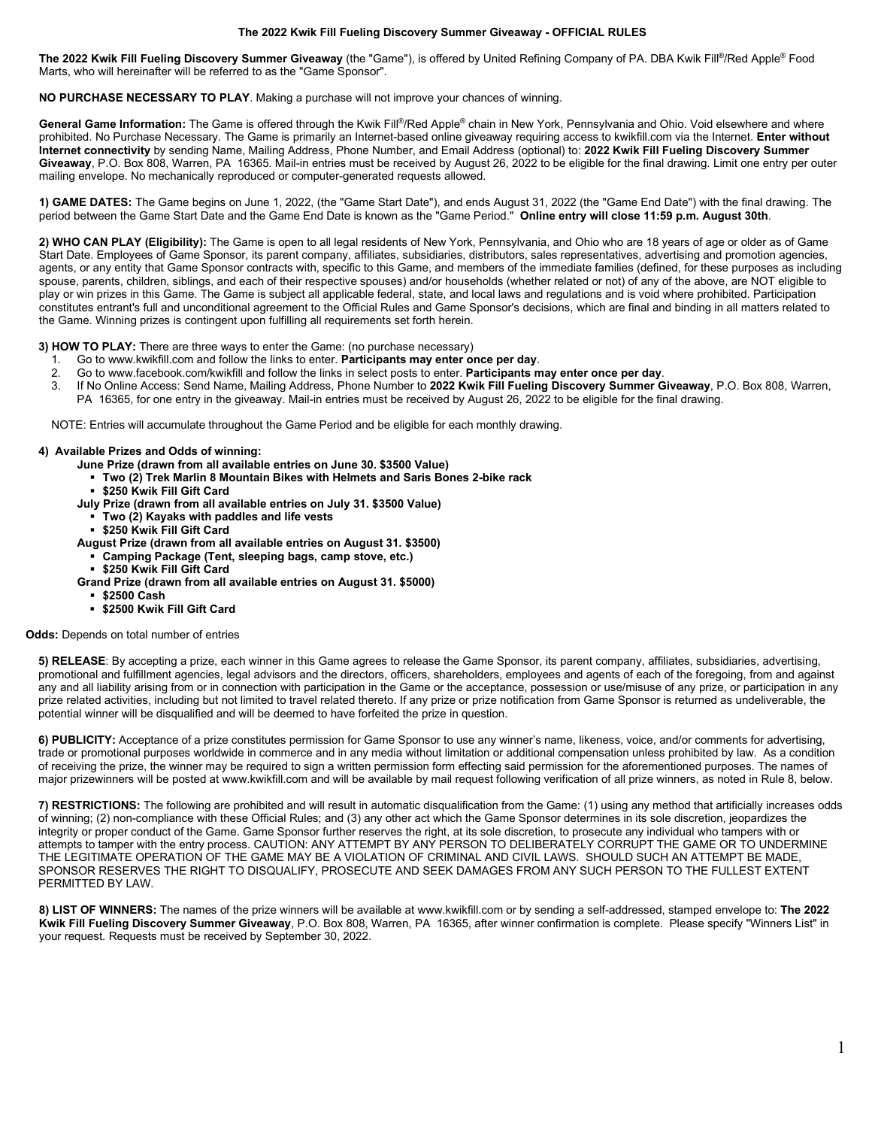## **The 2022 Kwik Fill Fueling Discovery Summer Giveaway - OFFICIAL RULES**

**The 2022 Kwik Fill Fueling Discovery Summer Giveaway** (the "Game"), is offered by United Refining Company of PA. DBA Kwik Fill®/Red Apple® Food Marts, who will hereinafter will be referred to as the "Game Sponsor".

## **NO PURCHASE NECESSARY TO PLAY**. Making a purchase will not improve your chances of winning.

**General Game Information:** The Game is offered through the Kwik Fill®/Red Apple® chain in New York, Pennsylvania and Ohio. Void elsewhere and where prohibited. No Purchase Necessary. The Game is primarily an Internet-based online giveaway requiring access to kwikfill.com via the Internet. **Enter without Internet connectivity** by sending Name, Mailing Address, Phone Number, and Email Address (optional) to: **2022 Kwik Fill Fueling Discovery Summer Giveaway**, P.O. Box 808, Warren, PA 16365. Mail-in entries must be received by August 26, 2022 to be eligible for the final drawing. Limit one entry per outer mailing envelope. No mechanically reproduced or computer-generated requests allowed.

**1) GAME DATES:** The Game begins on June 1, 2022, (the "Game Start Date"), and ends August 31, 2022 (the "Game End Date") with the final drawing. The period between the Game Start Date and the Game End Date is known as the "Game Period." **Online entry will close 11:59 p.m. August 30th**.

**2) WHO CAN PLAY (Eligibility):** The Game is open to all legal residents of New York, Pennsylvania, and Ohio who are 18 years of age or older as of Game Start Date. Employees of Game Sponsor, its parent company, affiliates, subsidiaries, distributors, sales representatives, advertising and promotion agencies, agents, or any entity that Game Sponsor contracts with, specific to this Game, and members of the immediate families (defined, for these purposes as including spouse, parents, children, siblings, and each of their respective spouses) and/or households (whether related or not) of any of the above, are NOT eligible to play or win prizes in this Game. The Game is subject all applicable federal, state, and local laws and regulations and is void where prohibited. Participation constitutes entrant's full and unconditional agreement to the Official Rules and Game Sponsor's decisions, which are final and binding in all matters related to the Game. Winning prizes is contingent upon fulfilling all requirements set forth herein.

**3) HOW TO PLAY:** There are three ways to enter the Game: (no purchase necessary)

- 
- 1. Go to www.kwikfill.com and follow the links to enter. **Participants may enter once per day**. 2. Go to www.facebook.com/kwikfill and follow the links in select posts to enter. **Participants may enter once per day**.
	- 3. If No Online Access: Send Name, Mailing Address, Phone Number to **2022 Kwik Fill Fueling Discovery Summer Giveaway**, P.O. Box 808, Warren, PA 16365, for one entry in the giveaway. Mail-in entries must be received by August 26, 2022 to be eligible for the final drawing.

NOTE: Entries will accumulate throughout the Game Period and be eligible for each monthly drawing.

## **4) Available Prizes and Odds of winning:**

- **June Prize (drawn from all available entries on June 30. \$3500 Value)**
	- **Two (2) Trek Marlin 8 Mountain Bikes with Helmets and Saris Bones 2-bike rack**
	- **\$250 Kwik Fill Gift Card**
- **July Prize (drawn from all available entries on July 31. \$3500 Value)**
	- **Two (2) Kayaks with paddles and life vests**
	- **\$250 Kwik Fill Gift Card**
- **August Prize (drawn from all available entries on August 31. \$3500)**
	- **Camping Package (Tent, sleeping bags, camp stove, etc.)**
	- **\$250 Kwik Fill Gift Card**
- **Grand Prize (drawn from all available entries on August 31. \$5000)**
	- **\$2500 Cash**
	- **\$2500 Kwik Fill Gift Card**

## **Odds:** Depends on total number of entries

**5) RELEASE**: By accepting a prize, each winner in this Game agrees to release the Game Sponsor, its parent company, affiliates, subsidiaries, advertising, promotional and fulfillment agencies, legal advisors and the directors, officers, shareholders, employees and agents of each of the foregoing, from and against any and all liability arising from or in connection with participation in the Game or the acceptance, possession or use/misuse of any prize, or participation in any prize related activities, including but not limited to travel related thereto. If any prize or prize notification from Game Sponsor is returned as undeliverable, the potential winner will be disqualified and will be deemed to have forfeited the prize in question.

**6) PUBLICITY:** Acceptance of a prize constitutes permission for Game Sponsor to use any winner's name, likeness, voice, and/or comments for advertising, trade or promotional purposes worldwide in commerce and in any media without limitation or additional compensation unless prohibited by law. As a condition of receiving the prize, the winner may be required to sign a written permission form effecting said permission for the aforementioned purposes. The names of major prizewinners will be posted at www.kwikfill.com and will be available by mail request following verification of all prize winners, as noted in Rule 8, below.

**7) RESTRICTIONS:** The following are prohibited and will result in automatic disqualification from the Game: (1) using any method that artificially increases odds of winning; (2) non-compliance with these Official Rules; and (3) any other act which the Game Sponsor determines in its sole discretion, jeopardizes the integrity or proper conduct of the Game. Game Sponsor further reserves the right, at its sole discretion, to prosecute any individual who tampers with or attempts to tamper with the entry process. CAUTION: ANY ATTEMPT BY ANY PERSON TO DELIBERATELY CORRUPT THE GAME OR TO UNDERMINE THE LEGITIMATE OPERATION OF THE GAME MAY BE A VIOLATION OF CRIMINAL AND CIVIL LAWS. SHOULD SUCH AN ATTEMPT BE MADE, SPONSOR RESERVES THE RIGHT TO DISQUALIFY, PROSECUTE AND SEEK DAMAGES FROM ANY SUCH PERSON TO THE FULLEST EXTENT PERMITTED BY LAW.

**8) LIST OF WINNERS:** The names of the prize winners will be available at www.kwikfill.com or by sending a self-addressed, stamped envelope to: **The 2022 Kwik Fill Fueling Discovery Summer Giveaway**, P.O. Box 808, Warren, PA 16365, after winner confirmation is complete. Please specify "Winners List" in your request. Requests must be received by September 30, 2022.